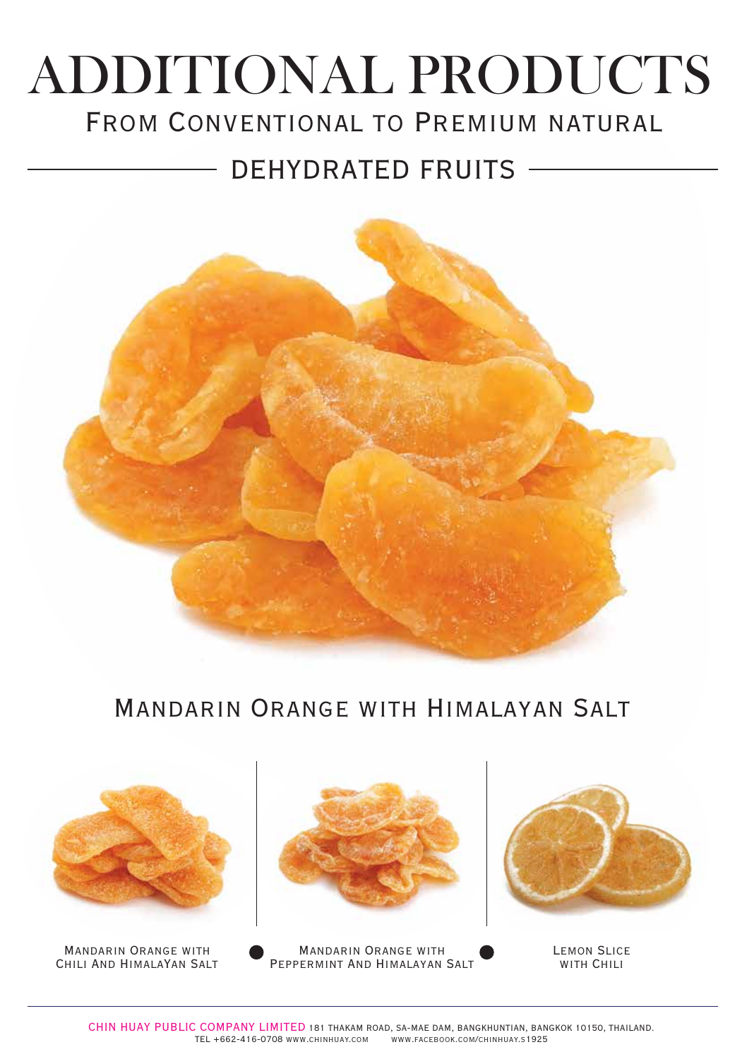# FROM CONVENTIONAL TO PREMIUM NATURAL ADDITIONAL PRODUCTS

## DEHYDRATED FRUITS



### Mandarin Orange with Himalayan Salt



Mandarin Orange with Chili And HimalaYan Salt



Mandarin Orange with Peppermint And Himalayan Salt



Lemon Slice WITH CHILI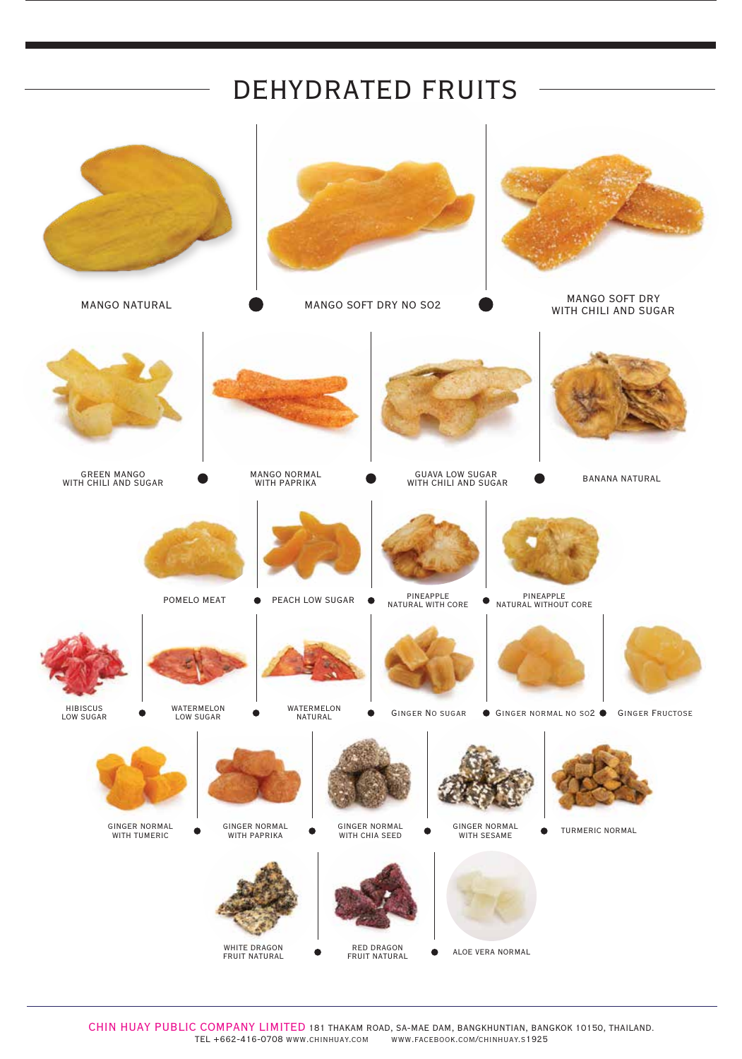## DEHYDRATED FRUITS



CHIN HUAY PUBLIC COMPANY LIMITED 181 THAKAM ROAD, SA-MAE DAM, BANGKHUNTIAN, BANGKOK 10150, THAILAND. TEL +662-416-0708 www.chinhuay.com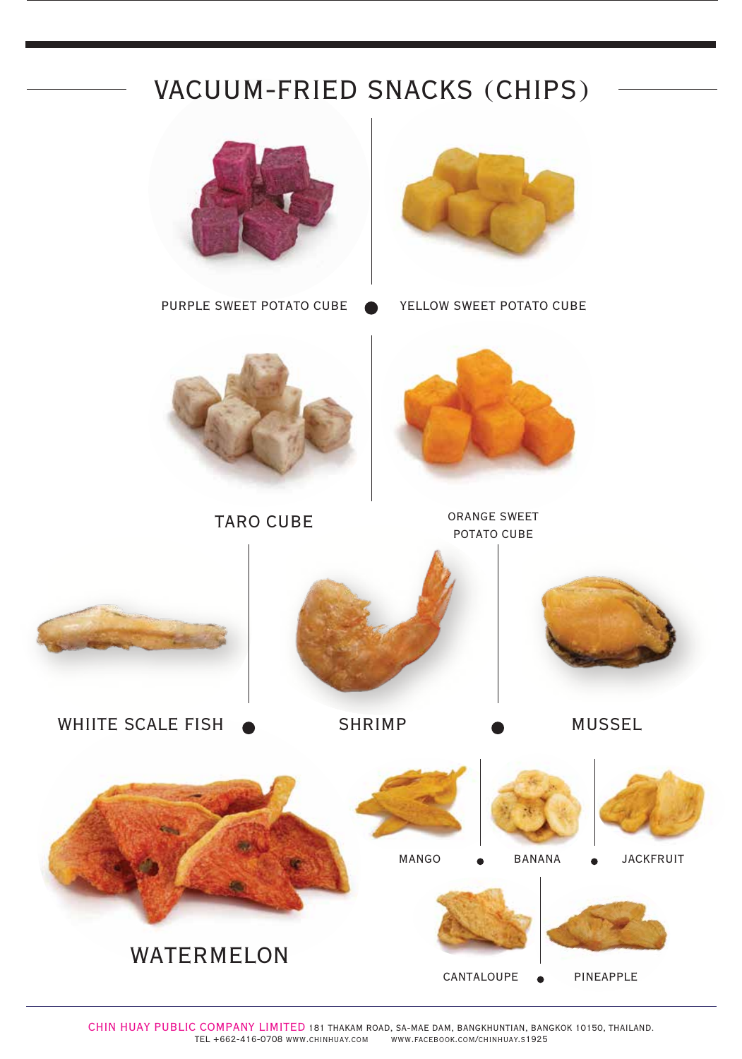## VACUUM-FRIED SNACKS (CHIPS)



CHIN HUAY PUBLIC COMPANY LIMITED 181 THAKAM ROAD, SA-MAE DAM, BANGKHUNTIAN, BANGKOK 10150, THAILAND. TEL +662-416-0708 www.chinhuay.com